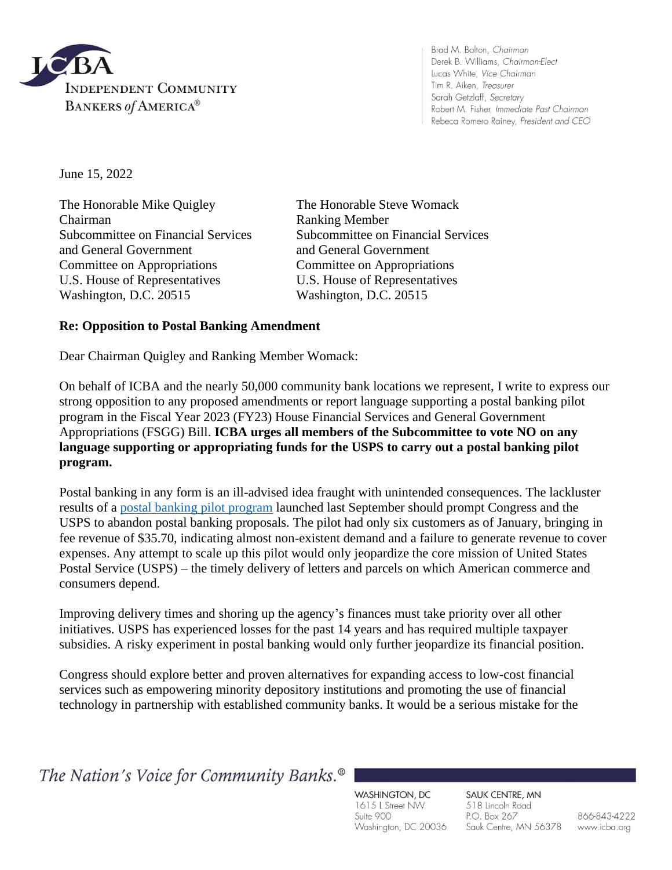

Brad M. Bolton, Chairman Derek B. Williams, Chairman-Elect Lucas White, Vice Chairman Tim R. Aiken, Treasurer Sarah Getzlaff, Secretary Robert M. Fisher, Immediate Past Chairman Rebeca Romero Rainey, President and CEO

June 15, 2022

The Honorable Mike Quigley The Honorable Steve Womack Chairman Ranking Member and General Government and General Government Committee on Appropriations Committee on Appropriations U.S. House of Representatives U.S. House of Representatives Washington, D.C. 20515 Washington, D.C. 20515

Subcommittee on Financial Services Subcommittee on Financial Services

## **Re: Opposition to Postal Banking Amendment**

Dear Chairman Quigley and Ranking Member Womack:

On behalf of ICBA and the nearly 50,000 community bank locations we represent, I write to express our strong opposition to any proposed amendments or report language supporting a postal banking pilot program in the Fiscal Year 2023 (FY23) House Financial Services and General Government Appropriations (FSGG) Bill. **ICBA urges all members of the Subcommittee to vote NO on any language supporting or appropriating funds for the USPS to carry out a postal banking pilot program.**

Postal banking in any form is an ill-advised idea fraught with unintended consequences. The lackluster results of a [postal banking pilot program](https://www.govexec.com/management/2022/01/postal-service-has-provided-financial-services-just-six-customers-through-its-banking-pilot/360804/) launched last September should prompt Congress and the USPS to abandon postal banking proposals. The pilot had only six customers as of January, bringing in fee revenue of \$35.70, indicating almost non-existent demand and a failure to generate revenue to cover expenses. Any attempt to scale up this pilot would only jeopardize the core mission of United States Postal Service (USPS) – the timely delivery of letters and parcels on which American commerce and consumers depend.

Improving delivery times and shoring up the agency's finances must take priority over all other initiatives. USPS has experienced losses for the past 14 years and has required multiple taxpayer subsidies. A risky experiment in postal banking would only further jeopardize its financial position.

Congress should explore better and proven alternatives for expanding access to low-cost financial services such as empowering minority depository institutions and promoting the use of financial technology in partnership with established community banks. It would be a serious mistake for the

The Nation's Voice for Community Banks.<sup>®</sup>

WASHINGTON, DC 1615 L Street NW Suite 900 Washington, DC 20036 SAUK CENTRE, MN 518 Lincoln Road P.O. Box 267 Sauk Centre, MN 56378

866-843-4222 www.icba.org